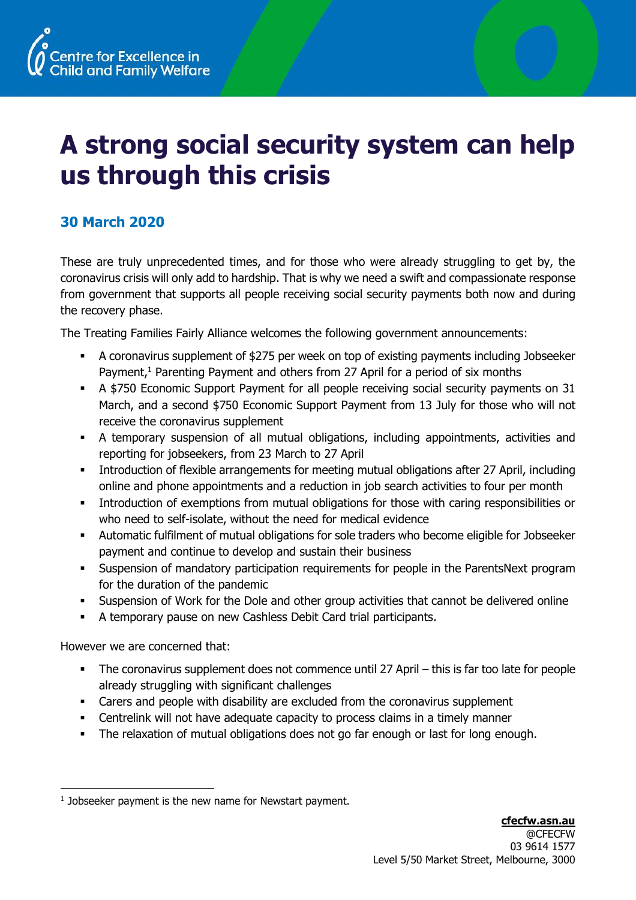

## **A strong social security system can help us through this crisis**

## **30 March 2020**

These are truly unprecedented times, and for those who were already struggling to get by, the coronavirus crisis will only add to hardship. That is why we need a swift and compassionate response from government that supports all people receiving social security payments both now and during the recovery phase.

The Treating Families Fairly Alliance welcomes the following government announcements:

- A coronavirus supplement of \$275 per week on top of existing payments including Jobseeker Payment,<sup>1</sup> Parenting Payment and others from 27 April for a period of six months
- A \$750 Economic Support Payment for all people receiving social security payments on 31 March, and a second \$750 Economic Support Payment from 13 July for those who will not receive the coronavirus supplement
- A temporary suspension of all mutual obligations, including appointments, activities and reporting for jobseekers, from 23 March to 27 April
- **•** Introduction of flexible arrangements for meeting mutual obligations after 27 April, including online and phone appointments and a reduction in job search activities to four per month
- **•** Introduction of exemptions from mutual obligations for those with caring responsibilities or who need to self-isolate, without the need for medical evidence
- Automatic fulfilment of mutual obligations for sole traders who become eligible for Jobseeker payment and continue to develop and sustain their business
- Suspension of mandatory participation requirements for people in the ParentsNext program for the duration of the pandemic
- Suspension of Work for the Dole and other group activities that cannot be delivered online
- A temporary pause on new Cashless Debit Card trial participants.

However we are concerned that:

- The coronavirus supplement does not commence until 27 April this is far too late for people already struggling with significant challenges
- Carers and people with disability are excluded from the coronavirus supplement
- Centrelink will not have adequate capacity to process claims in a timely manner
- The relaxation of mutual obligations does not go far enough or last for long enough.

<sup>&</sup>lt;sup>1</sup> Jobseeker payment is the new name for Newstart payment.